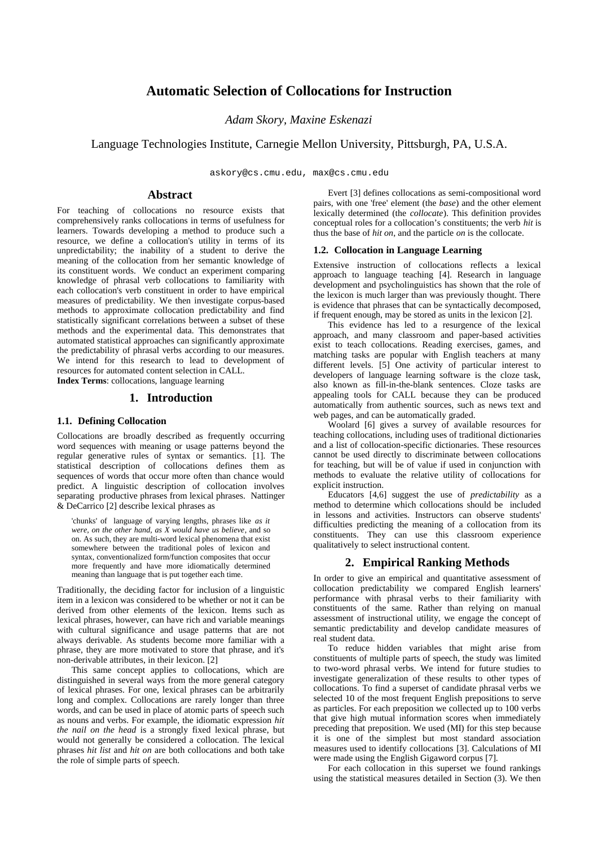# **Automatic Selection of Collocations for Instruction**

*Adam Skory, Maxine Eskenazi*

# Language Technologies Institute, Carnegie Mellon University, Pittsburgh, PA, U.S.A.

askory@cs.cmu.edu, max@cs.cmu.edu

# **Abstract**

For teaching of collocations no resource exists that comprehensively ranks collocations in terms of usefulness for learners. Towards developing a method to produce such a resource, we define a collocation's utility in terms of its unpredictability; the inability of a student to derive the meaning of the collocation from her semantic knowledge of its constituent words. We conduct an experiment comparing knowledge of phrasal verb collocations to familiarity with each collocation's verb constituent in order to have empirical measures of predictability. We then investigate corpus-based methods to approximate collocation predictability and find statistically significant correlations between a subset of these methods and the experimental data. This demonstrates that automated statistical approaches can significantly approximate the predictability of phrasal verbs according to our measures. We intend for this research to lead to development of resources for automated content selection in CALL. **Index Terms**: collocations, language learning

# **1. Introduction**

### **1.1. Defining Collocation**

Collocations are broadly described as frequently occurring word sequences with meaning or usage patterns beyond the regular generative rules of syntax or semantics. [1]. The statistical description of collocations defines them as sequences of words that occur more often than chance would predict. A linguistic description of collocation involves separating productive phrases from lexical phrases. Nattinger & DeCarrico [2] describe lexical phrases as

'chunks' of language of varying lengths, phrases like *as it were, on the other hand, as X would have us believe*, and so on. As such, they are multi-word lexical phenomena that exist somewhere between the traditional poles of lexicon and syntax, conventionalized form/function composites that occur more frequently and have more idiomatically determined meaning than language that is put together each time.

Traditionally, the deciding factor for inclusion of a linguistic item in a lexicon was considered to be whether or not it can be derived from other elements of the lexicon. Items such as lexical phrases, however, can have rich and variable meanings with cultural significance and usage patterns that are not always derivable. As students become more familiar with a phrase, they are more motivated to store that phrase, and it's non-derivable attributes, in their lexicon. [2]

This same concept applies to collocations, which are distinguished in several ways from the more general category of lexical phrases. For one, lexical phrases can be arbitrarily long and complex. Collocations are rarely longer than three words, and can be used in place of atomic parts of speech such as nouns and verbs. For example, the idiomatic expression *hit the nail on the head* is a strongly fixed lexical phrase, but would not generally be considered a collocation. The lexical phrases *hit list* and *hit on* are both collocations and both take the role of simple parts of speech.

Evert [3] defines collocations as semi-compositional word pairs, with one 'free' element (the *base*) and the other element lexically determined (the *collocate*). This definition provides conceptual roles for a collocation's constituents; the verb *hit* is thus the base of *hit on*, and the particle *on* is the collocate.

### **1.2. Collocation in Language Learning**

Extensive instruction of collocations reflects a lexical approach to language teaching [4]. Research in language development and psycholinguistics has shown that the role of the lexicon is much larger than was previously thought. There is evidence that phrases that can be syntactically decomposed, if frequent enough, may be stored as units in the lexicon [2].

This evidence has led to a resurgence of the lexical approach, and many classroom and paper-based activities exist to teach collocations. Reading exercises, games, and matching tasks are popular with English teachers at many different levels. [5] One activity of particular interest to developers of language learning software is the cloze task, also known as fill-in-the-blank sentences. Cloze tasks are appealing tools for CALL because they can be produced automatically from authentic sources, such as news text and web pages, and can be automatically graded.

Woolard [6] gives a survey of available resources for teaching collocations, including uses of traditional dictionaries and a list of collocation-specific dictionaries. These resources cannot be used directly to discriminate between collocations for teaching, but will be of value if used in conjunction with methods to evaluate the relative utility of collocations for explicit instruction.

Educators [4,6] suggest the use of *predictability* as a method to determine which collocations should be included in lessons and activities. Instructors can observe students' difficulties predicting the meaning of a collocation from its constituents. They can use this classroom experience qualitatively to select instructional content.

### **2. Empirical Ranking Methods**

In order to give an empirical and quantitative assessment of collocation predictability we compared English learners' performance with phrasal verbs to their familiarity with constituents of the same. Rather than relying on manual assessment of instructional utility, we engage the concept of semantic predictability and develop candidate measures of real student data.

To reduce hidden variables that might arise from constituents of multiple parts of speech, the study was limited to two-word phrasal verbs. We intend for future studies to investigate generalization of these results to other types of collocations. To find a superset of candidate phrasal verbs we selected 10 of the most frequent English prepositions to serve as particles. For each preposition we collected up to 100 verbs that give high mutual information scores when immediately preceding that preposition. We used (MI) for this step because it is one of the simplest but most standard association measures used to identify collocations [3]. Calculations of MI were made using the English Gigaword corpus [7].

For each collocation in this superset we found rankings using the statistical measures detailed in Section (3). We then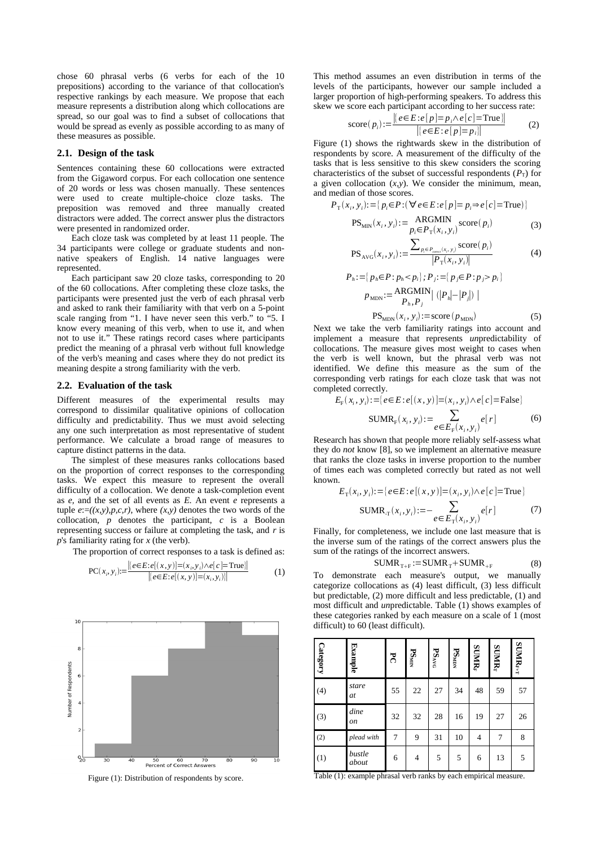chose 60 phrasal verbs (6 verbs for each of the 10 prepositions) according to the variance of that collocation's respective rankings by each measure. We propose that each measure represents a distribution along which collocations are spread, so our goal was to find a subset of collocations that would be spread as evenly as possible according to as many of these measures as possible.

# **2.1. Design of the task**

Sentences containing these 60 collocations were extracted from the Gigaword corpus. For each collocation one sentence of 20 words or less was chosen manually. These sentences were used to create multiple-choice cloze tasks. The preposition was removed and three manually created distractors were added. The correct answer plus the distractors were presented in randomized order.

Each cloze task was completed by at least 11 people. The 34 participants were college or graduate students and nonnative speakers of English. 14 native languages were represented.

Each participant saw 20 cloze tasks, corresponding to 20 of the 60 collocations. After completing these cloze tasks, the participants were presented just the verb of each phrasal verb and asked to rank their familiarity with that verb on a 5-point scale ranging from "1. I have never seen this verb." to "5. I know every meaning of this verb, when to use it, and when not to use it." These ratings record cases where participants predict the meaning of a phrasal verb without full knowledge of the verb's meaning and cases where they do not predict its meaning despite a strong familiarity with the verb.

#### **2.2. Evaluation of the task**

Different measures of the experimental results may correspond to dissimilar qualitative opinions of collocation difficulty and predictability. Thus we must avoid selecting any one such interpretation as most representative of student performance. We calculate a broad range of measures to capture distinct patterns in the data.

The simplest of these measures ranks collocations based on the proportion of correct responses to the corresponding tasks. We expect this measure to represent the overall difficulty of a collocation. We denote a task-completion event as *e,* and the set of all events as *E.* An event *e* represents a tuple *e*:=*((x,y),p,c,r)*, where *(x,y)* denotes the two words of the collocation, *p* denotes the participant, *c* is a Boolean representing success or failure at completing the task, and *r* is *p*'s familiarity rating for *x* (the verb).

The proportion of correct responses to a task is defined as:

$$
PC(x_i, y_i) := \frac{|e \in E : e[(x, y)] = (x_i, y_i) \land e[c] = True|}{|(e \in E : e[(x, y)] = (x_i, y_i)|]}
$$
(1)



Figure (1): Distribution of respondents by score.

This method assumes an even distribution in terms of the levels of the participants, however our sample included a larger proportion of high-performing speakers. To address this skew we score each participant according to her success rate:

score
$$
(p_i)
$$
:=
$$
\frac{[e \in E : e[p] = p_i \land e[c] = True]}{[e \in E : e[p] = p_i]}
$$
(2)

Figure (1) shows the rightwards skew in the distribution of respondents by score. A measurement of the difficulty of the tasks that is less sensitive to this skew considers the scoring characteristics of the subset of successful respondents  $(P_T)$  for a given collocation (*x,y*). We consider the minimum, mean, and median of those scores.

$$
P_{\text{T}}(x_i, y_i) := \{ p_i \in P : (\forall e \in E : e | p] = p_i \Rightarrow e[c] = \text{True}) \}
$$
  
DS (x, y) := ARGMIN score(n) (2)

$$
PSMIN(xi, yi) := \frac{ARGMIN}{pi \in PT(xi, yi)} score(pi)
$$
 (3)

$$
PS_{AVG}(x_i, y_i) := \frac{\sum_{p_i \in P_{coest}(x_i, y_i)} score(p_i)}{|P_T(x_i, y_i)|}
$$
(4)

$$
P_h := \{ p_h \in P : p_h < p_i \}; P_j := \{ p_j \in P : p_j > p_i \}
$$
\n
$$
p_{\text{MDN}} := \frac{\text{ARGMIN}}{P_h, P_j} \left( |P_h| - |P_j| \right) \Big|
$$
\n
$$
\text{PS}_{\text{MDN}}(x_i, y_j) := \text{score}(p_{\text{MDN}}) \tag{5}
$$

Next we take the verb familiarity ratings into account and implement a measure that represents *un*predictability of collocations. The measure gives most weight to cases when the verb is well known, but the phrasal verb was not identified. We define this measure as the sum of the corresponding verb ratings for each cloze task that was not completed correctly.

$$
E_{\mathcal{F}}(x_i, y_i) := \{ e \in E : e[(x, y)] = (x_i, y_i) \land e[c] = \text{False} \}
$$
  
\nSUMR<sub>*F*</sub>(x<sub>i</sub>, y<sub>i</sub>) := 
$$
\sum_{e \in E_{\mathcal{F}}(x_i, y_i)} e[r]
$$
 (6)

Research has shown that people more reliably self-assess what they do *not* know [8], so we implement an alternative measure that ranks the cloze tasks in inverse proportion to the number of times each was completed correctly but rated as not well known.

$$
E_{\text{T}}(x_i, y_i) := \{ e \in E : e[(x, y)] = (x_i, y_i) \land e[c] = \text{True} \}
$$
  
\nSUMR<sub>T</sub>(x<sub>i</sub>, y<sub>i</sub>) :=  $-\sum_{e \in E_{\text{T}}(x_i, y_i)} e[r]$  (7)

Finally, for completeness, we include one last measure that is the inverse sum of the ratings of the correct answers plus the sum of the ratings of the incorrect answers.

$$
SUMR_{T+F} := SUMR_T + SUMR_{+F}
$$
 (8)

To demonstrate each measure's output, we manually categorize collocations as (4) least difficult, (3) less difficult but predictable, (2) more difficult and less predictable, (1) and most difficult and *un*predictable. Table (1) shows examples of these categories ranked by each measure on a scale of 1 (most difficult) to 60 (least difficult).

| Category | Example         | ह  | <b>PS<sub>MIN</sub></b> | PSAVG | <b>PS<sub>MDN</sub></b> | <b>SUMR</b> <sub>F</sub> | <b>SUMR</b> T | $SUMR_{\text{F+T}}$ |
|----------|-----------------|----|-------------------------|-------|-------------------------|--------------------------|---------------|---------------------|
| (4)      | stare<br>at     | 55 | 22                      | 27    | 34                      | 48                       | 59            | 57                  |
| (3)      | dine<br>on      | 32 | 32                      | 28    | 16                      | 19                       | 27            | 26                  |
| (2)      | plead with      | 7  | 9                       | 31    | 10                      | 4                        | 7             | 8                   |
| (1)      | bustle<br>about | 6  | 4                       | 5     | 5                       | 6                        | 13            | 5                   |

Table (1): example phrasal verb ranks by each empirical measure.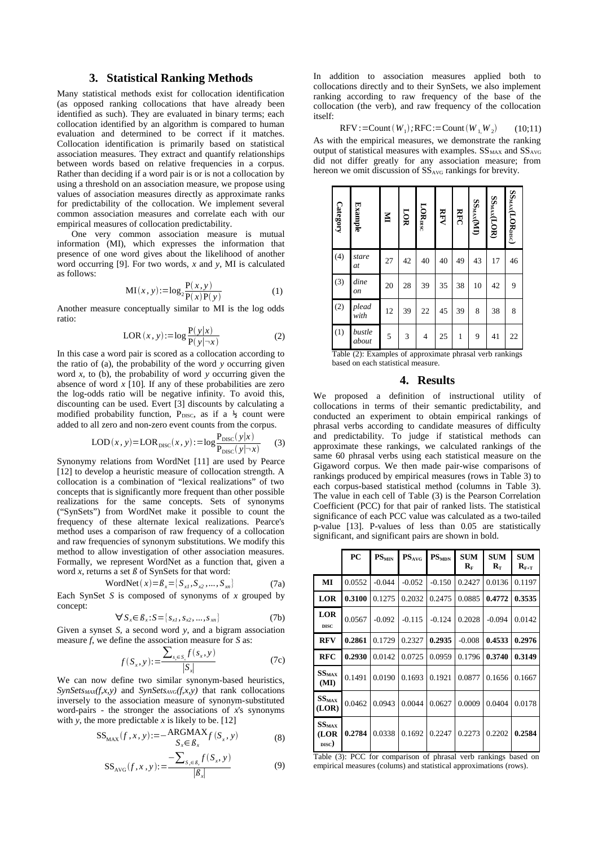### **3. Statistical Ranking Methods**

Many statistical methods exist for collocation identification (as opposed ranking collocations that have already been identified as such). They are evaluated in binary terms; each collocation identified by an algorithm is compared to human evaluation and determined to be correct if it matches. Collocation identification is primarily based on statistical association measures. They extract and quantify relationships between words based on relative frequencies in a corpus. Rather than deciding if a word pair is or is not a collocation by using a threshold on an association measure, we propose using values of association measures directly as approximate ranks for predictability of the collocation. We implement several common association measures and correlate each with our empirical measures of collocation predictability.

One very common association measure is mutual information (MI), which expresses the information that presence of one word gives about the likelihood of another word occurring [9]. For two words, *x* and *y*, MI is calculated as follows:

$$
MI(x, y) := log_2 \frac{P(x, y)}{P(x)P(y)}
$$
(1)

Another measure conceptually similar to MI is the log odds ratio:

$$
LOR(x, y) := \log \frac{P(y|x)}{P(y|\neg x)}
$$
 (2)

In this case a word pair is scored as a collocation according to the ratio of (a), the probability of the word *y* occurring given word *x,* to (b), the probability of word *y* occurring given the absence of word  $x$  [10]. If any of these probabilities are zero the log-odds ratio will be negative infinity. To avoid this, discounting can be used. Evert [3] discounts by calculating a modified probability function,  $P_{DISC}$ , as if a  $\frac{1}{2}$  count were added to all zero and non-zero event counts from the corpus.

$$
LOD(x, y) = LORDISC(x, y) := log \frac{P_{DISC}(y|x)}{P_{DISC}(y|\neg x)}
$$
 (3)

Synonymy relations from WordNet [11] are used by Pearce [12] to develop a heuristic measure of collocation strength. A collocation is a combination of "lexical realizations" of two concepts that is significantly more frequent than other possible realizations for the same concepts. Sets of synonyms ("SynSets") from WordNet make it possible to count the frequency of these alternate lexical realizations. Pearce's method uses a comparison of raw frequency of a collocation and raw frequencies of synonym substitutions. We modify this method to allow investigation of other association measures. Formally, we represent WordNet as a function that, given a word *x*, returns a set *ß* of SynSets for that word:

WordNet(*x*)=
$$
B_x
$$
 = { $S_{x1}, S_{x2},..., S_{xn}$ } (7a)

Each SynSet *S* is composed of synonyms of *x* grouped by concept:

$$
\forall S_{\scriptscriptstyle \chi} \in \mathcal{B}_{\scriptscriptstyle \chi}; S = \{s_{\scriptscriptstyle \chi 1}, s_{\scriptscriptstyle \chi 2}, \ldots, s_{\scriptscriptstyle \chi n}\}\tag{7b}
$$

Given a synset *S,* a second word *y*, and a bigram association measure *f*, we define the association measure for *S* as:

$$
f(S_x, y) := \frac{\sum_{s_i \in S_x} f(s_x, y)}{|S_x|} \tag{7c}
$$

We can now define two similar synonym-based heuristics, *SynSetsMAX(f,x,y)* and *SynSetsAVG(f,x,y)* that rank collocations inversely to the association measure of synonym-substituted word-pairs - the stronger the associations of *x*'s synonyms with *y*, the more predictable *x* is likely to be. [12]

$$
SS_{MAX}(f, x, y) := -\frac{ARGMAX}{S_x \in B_x} f(S_x, y)
$$
(8)

$$
SSAVG(f, x, y): = \frac{-\sum_{S_x \in \mathcal{B}_x} f(S_x, y)}{|\mathcal{B}_x|}
$$
(9)

In addition to association measures applied both to collocations directly and to their SynSets, we also implement ranking according to raw frequency of the base of the collocation (the verb), and raw frequency of the collocation itself:

$$
RFV := Count(W_1); RFC := Count(W_1, W_2)
$$
 (10;11)

As with the empirical measures, we demonstrate the ranking output of statistical measures with examples.  $SS_{MAX}$  and  $SS_{AVG}$ did not differ greatly for any association measure; from hereon we omit discussion of  $SS<sub>AVG</sub>$  rankings for brevity.

| <b>Category</b> | Example         | $\overline{\mathbf{N}}$ | <b>LOR</b> | LOR <sub>DISC</sub> | RFV | <b>RFC</b>   | SS <sub>MAX</sub> (MI) | SS <sub>MAX</sub> (LOR) | SS <sub>MAX</sub> (LOR <sub>DISC</sub> ) |
|-----------------|-----------------|-------------------------|------------|---------------------|-----|--------------|------------------------|-------------------------|------------------------------------------|
| (4)             | stare<br>at     | 27                      | 42         | 40                  | 40  | 49           | 43                     | 17                      | 46                                       |
| (3)             | dine<br>on      | 20                      | 28         | 39                  | 35  | 38           | 10                     | 42                      | 9                                        |
| (2)             | plead<br>with   | 12                      | 39         | 22                  | 45  | 39           | 8                      | 38                      | 8                                        |
| (1)             | bustle<br>about | 5                       | 3          | 4                   | 25  | $\mathbf{1}$ | 9                      | 41                      | 22                                       |

Table (2): Examples of approximate phrasal verb rankings based on each statistical measure.

# **4. Results**

We proposed a definition of instructional utility of collocations in terms of their semantic predictability, and conducted an experiment to obtain empirical rankings of phrasal verbs according to candidate measures of difficulty and predictability. To judge if statistical methods can approximate these rankings, we calculated rankings of the same 60 phrasal verbs using each statistical measure on the Gigaword corpus. We then made pair-wise comparisons of rankings produced by empirical measures (rows in Table 3) to each corpus-based statistical method (columns in Table 3). The value in each cell of Table (3) is the Pearson Correlation Coefficient (PCC) for that pair of ranked lists. The statistical significance of each PCC value was calculated as a two-tailed p-value [13]. P-values of less than 0.05 are statistically significant, and significant pairs are shown in bold.

|                                         | PC     | $PS_{MIN}$ | <b>PSAVG</b> | $PS_{MDN}$ | <b>SUM</b><br>$R_{\rm F}$ | <b>SUM</b><br>$\mathbf{R}_{\mathrm{T}}$ | <b>SUM</b><br>$R_{F+T}$ |
|-----------------------------------------|--------|------------|--------------|------------|---------------------------|-----------------------------------------|-------------------------|
| MI                                      | 0.0552 | $-0.044$   | $-0.052$     | $-0.150$   | 0.2427                    | 0.0136                                  | 0.1197                  |
| <b>LOR</b>                              | 0.3100 | 0.1275     | 0.2032       | 0.2475     | 0.0885                    | 0.4772                                  | 0.3535                  |
| LOR<br><b>DISC</b>                      | 0.0567 | $-0.092$   | $-0.115$     | $-0.124$   | 0.2028                    | $-0.094$                                | 0.0142                  |
| <b>RFV</b>                              | 0.2861 | 0.1729     | 0.2327       | 0.2935     | $-0.008$                  | 0.4533                                  | 0.2976                  |
| <b>RFC</b>                              | 0.2930 | 0.0142     | 0.0725       | 0.0959     | 0.1796                    | 0.3740                                  | 0.3149                  |
| $SS_{MAX}$<br>(MI)                      | 0.1491 | 0.0190     | 0.1693       | 0.1921     | 0.0877                    | 0.1656                                  | 0.1667                  |
| $SS_{MAX}$<br>(LOR)                     | 0.0462 | 0.0943     | 0.0044       | 0.0627     | 0.0009                    | 0.0404                                  | 0.0178                  |
| $SS_{MAX}$<br>(LOR<br><sub>DISC</sub> ) | 0.2784 | 0.0338     | 0.1692       | 0.2247     | 0.2273                    | 0.2202                                  | 0.2584                  |

Table (3): PCC for comparison of phrasal verb rankings based on empirical measures (colums) and statistical approximations (rows).